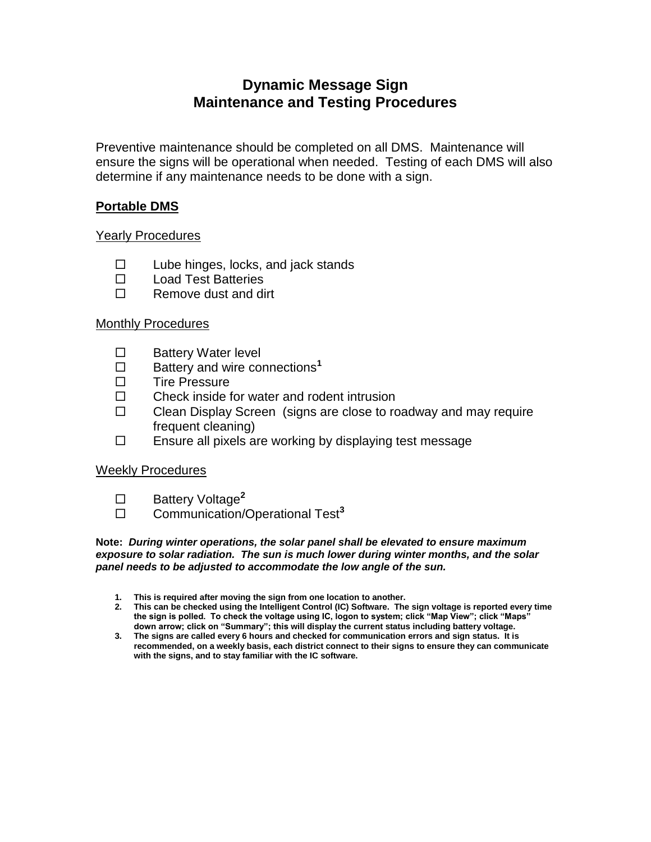# **Dynamic Message Sign Maintenance and Testing Procedures**

Preventive maintenance should be completed on all DMS. Maintenance will ensure the signs will be operational when needed. Testing of each DMS will also determine if any maintenance needs to be done with a sign.

## **Portable DMS**

#### Yearly Procedures

- $\square$  Lube hinges, locks, and jack stands
- □ Load Test Batteries
- $\Box$  Remove dust and dirt

#### Monthly Procedures

- □ Battery Water level
- □ Battery and wire connections<sup>1</sup>
- $\square$  Tire Pressure
- $\Box$  Check inside for water and rodent intrusion
- $\Box$  Clean Display Screen (signs are close to roadway and may require frequent cleaning)
- $\Box$  Ensure all pixels are working by displaying test message

## Weekly Procedures

- □ Battery Voltage<sup>2</sup>
- □ Communication/Operational Test<sup>3</sup>

**Note:** *During winter operations, the solar panel shall be elevated to ensure maximum exposure to solar radiation. The sun is much lower during winter months, and the solar panel needs to be adjusted to accommodate the low angle of the sun.*

- **1. This is required after moving the sign from one location to another.**
- **2. This can be checked using the Intelligent Control (IC) Software. The sign voltage is reported every time the sign is polled. To check the voltage using IC, logon to system; click "Map View"; click "Maps" down arrow; click on "Summary"; this will display the current status including battery voltage.**
- **3. The signs are called every 6 hours and checked for communication errors and sign status. It is recommended, on a weekly basis, each district connect to their signs to ensure they can communicate with the signs, and to stay familiar with the IC software.**